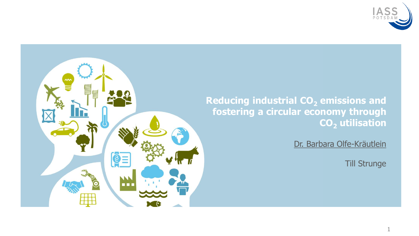

### **Reducing industrial CO<sup>2</sup> emissions and fostering a circular economy through CO<sup>2</sup> utilisation**

Dr. Barbara Olfe-Kräutlein

Till Strunge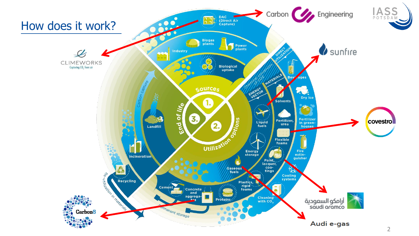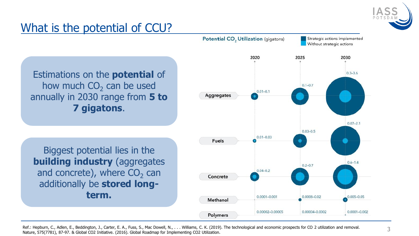

# What is the potential of CCU?

Estimations on the **potential** of how much  $CO<sub>2</sub>$  can be used annually in 2030 range from **5 to 7 gigatons**.

Biggest potential lies in the **building industry** (aggregates and concrete), where  $\text{CO}_2$  can additionally be **stored longterm.** 



Ref.: Hepburn, C., Adlen, E., Beddington, J., Carter, E. A., Fuss, S., Mac Dowell, N., . . . Williams, C. K. (2019). The technological and economic prospects for CO 2 utilization and removal. Nature, 575(7781), 87-97. & Global CO2 Initiative. (2016). Global Roadmap for Implementing CO2 Utilization.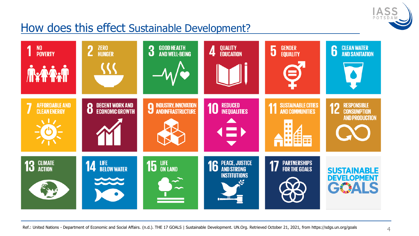

## How does this effect Sustainable Development?

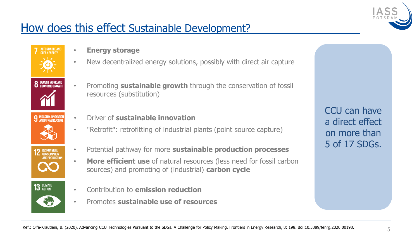

## How does this effect Sustainable Development?





- **9 INDUSTRY, INNOVATI**
- **RESPONSIBLE**<br>CONSUMPTION



- **Energy storage**
- New decentralized energy solutions, possibly with direct air capture
- Promoting **sustainable growth** through the conservation of fossil resources (substitution)
- Driver of **sustainable innovation**
- "Retrofit": retrofitting of industrial plants (point source capture)
- Potential pathway for more **sustainable production processes**
- **More efficient use** of natural resources (less need for fossil carbon sources) and promoting of (industrial) **carbon cycle**
- Contribution to **emission reduction**
- Promotes **sustainable use of resources**

CCU can have a direct effect on more than 5 of 17 SDGs.